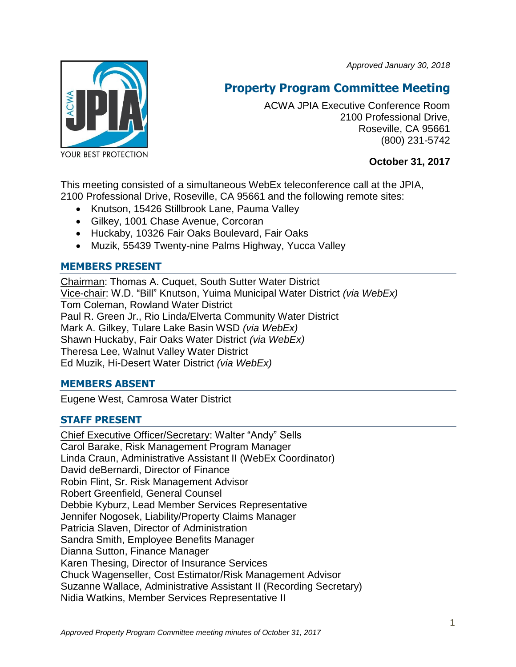*Approved January 30, 2018*



# **Property Program Committee Meeting**

ACWA JPIA Executive Conference Room 2100 Professional Drive, Roseville, CA 95661 (800) 231-5742

**October 31, 2017**

This meeting consisted of a simultaneous WebEx teleconference call at the JPIA, 2100 Professional Drive, Roseville, CA 95661 and the following remote sites:

- Knutson, 15426 Stillbrook Lane, Pauma Valley
- Gilkey, 1001 Chase Avenue, Corcoran
- Huckaby, 10326 Fair Oaks Boulevard, Fair Oaks
- Muzik, 55439 Twenty-nine Palms Highway, Yucca Valley

# **MEMBERS PRESENT**

Chairman: Thomas A. Cuquet, South Sutter Water District Vice-chair: W.D. "Bill" Knutson, Yuima Municipal Water District *(via WebEx)* Tom Coleman, Rowland Water District Paul R. Green Jr., Rio Linda/Elverta Community Water District Mark A. Gilkey, Tulare Lake Basin WSD *(via WebEx)* Shawn Huckaby, Fair Oaks Water District *(via WebEx)* Theresa Lee, Walnut Valley Water District Ed Muzik, Hi-Desert Water District *(via WebEx)*

# **MEMBERS ABSENT**

Eugene West, Camrosa Water District

# **STAFF PRESENT**

Chief Executive Officer/Secretary: Walter "Andy" Sells Carol Barake, Risk Management Program Manager Linda Craun, Administrative Assistant II (WebEx Coordinator) David deBernardi, Director of Finance Robin Flint, Sr. Risk Management Advisor Robert Greenfield, General Counsel Debbie Kyburz, Lead Member Services Representative Jennifer Nogosek, Liability/Property Claims Manager Patricia Slaven, Director of Administration Sandra Smith, Employee Benefits Manager Dianna Sutton, Finance Manager Karen Thesing, Director of Insurance Services Chuck Wagenseller, Cost Estimator/Risk Management Advisor Suzanne Wallace, Administrative Assistant II (Recording Secretary) Nidia Watkins, Member Services Representative II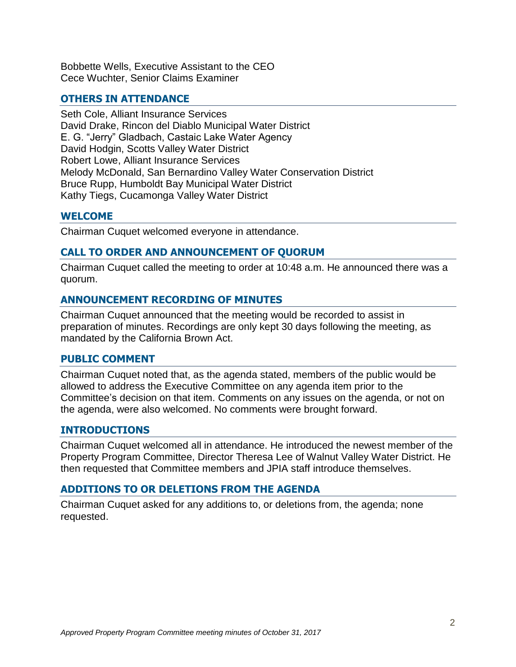Bobbette Wells, Executive Assistant to the CEO Cece Wuchter, Senior Claims Examiner

### **OTHERS IN ATTENDANCE**

Seth Cole, Alliant Insurance Services David Drake, Rincon del Diablo Municipal Water District E. G. "Jerry" Gladbach, Castaic Lake Water Agency David Hodgin, Scotts Valley Water District Robert Lowe, Alliant Insurance Services Melody McDonald, San Bernardino Valley Water Conservation District Bruce Rupp, Humboldt Bay Municipal Water District Kathy Tiegs, Cucamonga Valley Water District

### **WELCOME**

Chairman Cuquet welcomed everyone in attendance.

### **CALL TO ORDER AND ANNOUNCEMENT OF QUORUM**

Chairman Cuquet called the meeting to order at 10:48 a.m. He announced there was a quorum.

### **ANNOUNCEMENT RECORDING OF MINUTES**

Chairman Cuquet announced that the meeting would be recorded to assist in preparation of minutes. Recordings are only kept 30 days following the meeting, as mandated by the California Brown Act.

#### **PUBLIC COMMENT**

Chairman Cuquet noted that, as the agenda stated, members of the public would be allowed to address the Executive Committee on any agenda item prior to the Committee's decision on that item. Comments on any issues on the agenda, or not on the agenda, were also welcomed. No comments were brought forward.

### **INTRODUCTIONS**

Chairman Cuquet welcomed all in attendance. He introduced the newest member of the Property Program Committee, Director Theresa Lee of Walnut Valley Water District. He then requested that Committee members and JPIA staff introduce themselves.

### **ADDITIONS TO OR DELETIONS FROM THE AGENDA**

Chairman Cuquet asked for any additions to, or deletions from, the agenda; none requested.